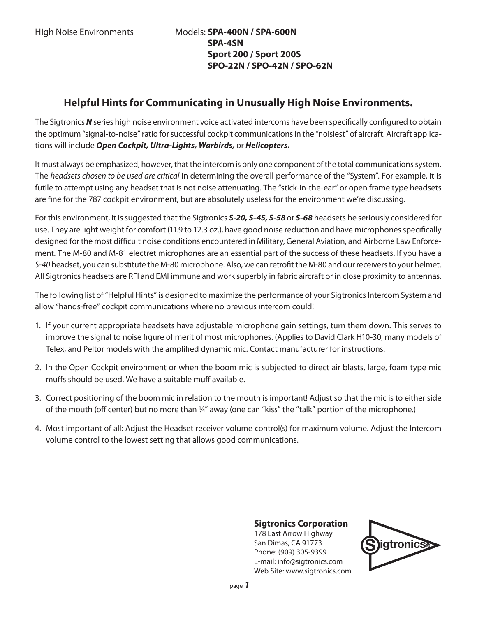# **Helpful Hints for Communicating in Unusually High Noise Environments.**

The Sigtronics *N* series high noise environment voice activated intercoms have been specifically configured to obtain the optimum "signal-to-noise" ratio for successful cockpit communications in the "noisiest" of aircraft. Aircraft applications will include *Open Cockpit, Ultra-Lights, Warbirds,* or *Helicopters.*

It must always be emphasized, however, that the intercom is only one component of the total communications system. The *headsets chosen to be used are critical* in determining the overall performance of the "System". For example, it is futile to attempt using any headset that is not noise attenuating. The "stick-in-the-ear" or open frame type headsets are fine for the 787 cockpit environment, but are absolutely useless for the environment we're discussing.

For this environment, it is suggested that the Sigtronics *S-20, S-45, S-58* or *S-68* headsets be seriously considered for use. They are light weight for comfort (11.9 to 12.3 oz.), have good noise reduction and have microphones specifically designed for the most difficult noise conditions encountered in Military, General Aviation, and Airborne Law Enforcement. The M-80 and M-81 electret microphones are an essential part of the success of these headsets. If you have a *S-40* headset, you can substitute the M-80 microphone. Also, we can retrofit the M-80 and our receivers to your helmet. All Sigtronics headsets are RFI and EMI immune and work superbly in fabric aircraft or in close proximity to antennas.

The following list of "Helpful Hints" is designed to maximize the performance of your Sigtronics Intercom System and allow "hands-free" cockpit communications where no previous intercom could!

- 1. If your current appropriate headsets have adjustable microphone gain settings, turn them down. This serves to improve the signal to noise figure of merit of most microphones. (Applies to David Clark H10-30, many models of Telex, and Peltor models with the amplified dynamic mic. Contact manufacturer for instructions.
- 2. In the Open Cockpit environment or when the boom mic is subjected to direct air blasts, large, foam type mic muffs should be used. We have a suitable muff available.
- 3. Correct positioning of the boom mic in relation to the mouth is important! Adjust so that the mic is to either side of the mouth (off center) but no more than ¼" away (one can "kiss" the "talk" portion of the microphone.)
- 4. Most important of all: Adjust the Headset receiver volume control(s) for maximum volume. Adjust the Intercom volume control to the lowest setting that allows good communications.

### **Sigtronics Corporation**

178 East Arrow Highway San Dimas, CA 91773 Phone: (909) 305-9399 E-mail: info@sigtronics.com Web Site: www.sigtronics.com